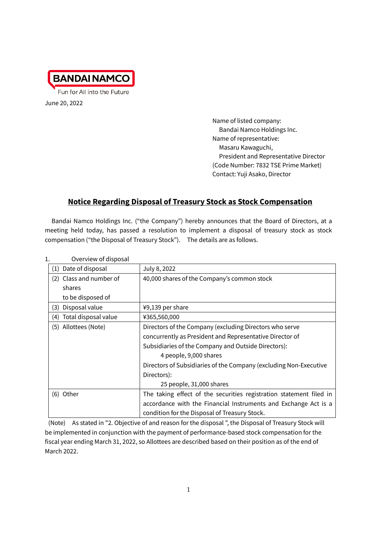

June 20, 2022

Name of listed company: Bandai Namco Holdings Inc. Name of representative: Masaru Kawaguchi, President and Representative Director (Code Number: 7832 TSE Prime Market) Contact: Yuji Asako, Director

# **Notice Regarding Disposal of Treasury Stock as Stock Compensation**

Bandai Namco Holdings Inc. ("the Company") hereby announces that the Board of Directors, at a meeting held today, has passed a resolution to implement a disposal of treasury stock as stock compensation ("the Disposal of Treasury Stock"). The details are as follows.

| 1.  | Overview of disposal    |                                                                     |
|-----|-------------------------|---------------------------------------------------------------------|
| (1) | Date of disposal        | July 8, 2022                                                        |
|     | (2) Class and number of | 40,000 shares of the Company's common stock                         |
|     | shares                  |                                                                     |
|     | to be disposed of       |                                                                     |
| (3) | Disposal value          | ¥9,139 per share                                                    |
| (4) | Total disposal value    | ¥365,560,000                                                        |
|     | (5) Allottees (Note)    | Directors of the Company (excluding Directors who serve             |
|     |                         | concurrently as President and Representative Director of            |
|     |                         | Subsidiaries of the Company and Outside Directors):                 |
|     |                         | 4 people, 9,000 shares                                              |
|     |                         | Directors of Subsidiaries of the Company (excluding Non-Executive   |
|     |                         | Directors):                                                         |
|     |                         | 25 people, 31,000 shares                                            |
|     | (6) Other               | The taking effect of the securities registration statement filed in |
|     |                         | accordance with the Financial Instruments and Exchange Act is a     |
|     |                         | condition for the Disposal of Treasury Stock.                       |

(Note) As stated in "2. Objective of and reason for the disposal ", the Disposal of Treasury Stock will be implemented in conjunction with the payment of performance-based stock compensation for the fiscal year ending March 31, 2022, so Allottees are described based on their position as of the end of March 2022.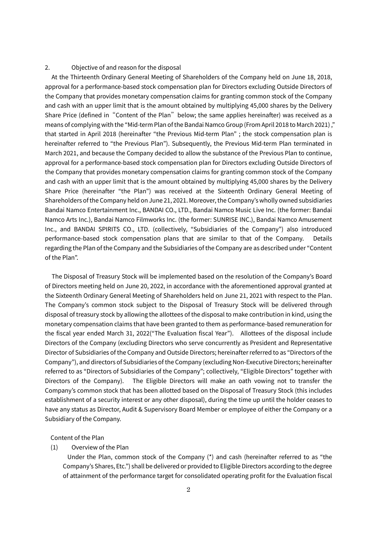#### 2. Objective of and reason for the disposal

At the Thirteenth Ordinary General Meeting of Shareholders of the Company held on June 18, 2018, approval for a performance-based stock compensation plan for Directors excluding Outside Directors of the Company that provides monetary compensation claims for granting common stock of the Company and cash with an upper limit that is the amount obtained by multiplying 45,000 shares by the Delivery Share Price (defined in "Content of the Plan" below; the same applies hereinafter) was received as a means of complying with the "Mid-term Plan of the Bandai Namco Group (From April 2018 to March 2021) ," that started in April 2018 (hereinafter "the Previous Mid-term Plan" ; the stock compensation plan is hereinafter referred to "the Previous Plan"). Subsequently, the Previous Mid-term Plan terminated in March 2021, and because the Company decided to allow the substance of the Previous Plan to continue, approval for a performance-based stock compensation plan for Directors excluding Outside Directors of the Company that provides monetary compensation claims for granting common stock of the Company and cash with an upper limit that is the amount obtained by multiplying 45,000 shares by the Delivery Share Price (hereinafter "the Plan") was received at the Sixteenth Ordinary General Meeting of Shareholders of the Company held on June 21, 2021. Moreover, the Company's wholly owned subsidiaries Bandai Namco Entertainment Inc., BANDAI CO., LTD., Bandai Namco Music Live Inc. (the former: Bandai Namco Arts Inc.), Bandai Namco Filmworks Inc. (the former: SUNRISE INC.), Bandai Namco Amusement Inc., and BANDAI SPIRITS CO., LTD. (collectively, "Subsidiaries of the Company") also introduced performance-based stock compensation plans that are similar to that of the Company. Details regarding the Plan of the Company and the Subsidiaries of the Company are as described under "Content of the Plan".

The Disposal of Treasury Stock will be implemented based on the resolution of the Company's Board of Directors meeting held on June 20, 2022, in accordance with the aforementioned approval granted at the Sixteenth Ordinary General Meeting of Shareholders held on June 21, 2021 with respect to the Plan. The Company's common stock subject to the Disposal of Treasury Stock will be delivered through disposal of treasury stock by allowing the allottees of the disposal to make contribution in kind, using the monetary compensation claims that have been granted to them as performance-based remuneration for the fiscal year ended March 31, 2022("The Evaluation fiscal Year"). Allottees of the disposal include Directors of the Company (excluding Directors who serve concurrently as President and Representative Director of Subsidiaries of the Company and Outside Directors; hereinafter referred to as "Directors of the Company"), and directors of Subsidiaries of the Company (excluding Non-Executive Directors; hereinafter referred to as "Directors of Subsidiaries of the Company"; collectively, "Eligible Directors" together with Directors of the Company). The Eligible Directors will make an oath vowing not to transfer the Company's common stock that has been allotted based on the Disposal of Treasury Stock (this includes establishment of a security interest or any other disposal), during the time up until the holder ceases to have any status as Director, Audit & Supervisory Board Member or employee of either the Company or a Subsidiary of the Company.

#### Content of the Plan

#### (1) Overview of the Plan

Under the Plan, common stock of the Company (\*) and cash (hereinafter referred to as "the Company's Shares, Etc.") shall be delivered or provided to Eligible Directors according to the degree of attainment of the performance target for consolidated operating profit for the Evaluation fiscal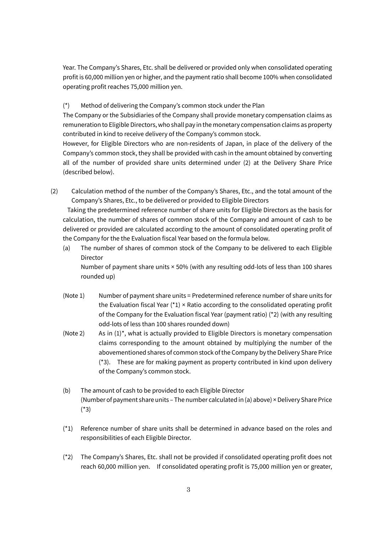Year. The Company's Shares, Etc. shall be delivered or provided only when consolidated operating profit is 60,000 million yen or higher, and the payment ratio shall become 100% when consolidated operating profit reaches 75,000 million yen.

## (\*) Method of delivering the Company's common stock under the Plan

The Company or the Subsidiaries of the Company shall provide monetary compensation claims as remuneration to Eligible Directors, who shall pay in the monetary compensation claims as property contributed in kind to receive delivery of the Company's common stock.

However, for Eligible Directors who are non-residents of Japan, in place of the delivery of the Company's common stock, they shall be provided with cash in the amount obtained by converting all of the number of provided share units determined under (2) at the Delivery Share Price (described below).

(2) Calculation method of the number of the Company's Shares, Etc., and the total amount of the Company's Shares, Etc., to be delivered or provided to Eligible Directors

Taking the predetermined reference number of share units for Eligible Directors as the basis for calculation, the number of shares of common stock of the Company and amount of cash to be delivered or provided are calculated according to the amount of consolidated operating profit of the Company for the the Evaluation fiscal Year based on the formula below.

(a) The number of shares of common stock of the Company to be delivered to each Eligible Director

Number of payment share units × 50% (with any resulting odd-lots of less than 100 shares rounded up)

- (Note  $1$ ) Number of payment share units = Predetermined reference number of share units for the Evaluation fiscal Year  $(1) \times$  Ratio according to the consolidated operating profit of the Company for the Evaluation fiscal Year (payment ratio) (\*2) (with any resulting odd-lots of less than 100 shares rounded down)
- (Note 2) As in  $(1)^*$ , what is actually provided to Eligible Directors is monetary compensation claims corresponding to the amount obtained by multiplying the number of the abovementioned shares of common stock of the Company by the Delivery Share Price (\*3). These are for making payment as property contributed in kind upon delivery of the Company's common stock.
- (b) The amount of cash to be provided to each Eligible Director (Number of payment share units – The number calculated in (a) above) × Delivery Share Price (\*3)
- (\*1) Reference number of share units shall be determined in advance based on the roles and responsibilities of each Eligible Director.
- (\*2) The Company's Shares, Etc. shall not be provided if consolidated operating profit does not reach 60,000 million yen. If consolidated operating profit is 75,000 million yen or greater,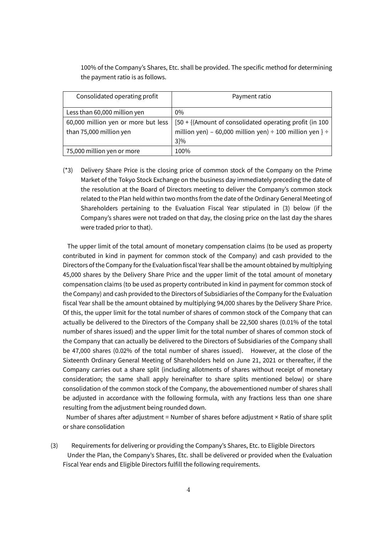100% of the Company's Shares, Etc. shall be provided. The specific method for determining the payment ratio is as follows.

| Consolidated operating profit                                  | Payment ratio                                                                                                                         |
|----------------------------------------------------------------|---------------------------------------------------------------------------------------------------------------------------------------|
| Less than 60,000 million yen                                   | $0\%$                                                                                                                                 |
| 60,000 million yen or more but less<br>than 75,000 million yen | [50 + {(Amount of consolidated operating profit (in 100<br>million yen) – 60,000 million yen) ÷ 100 million yen } ÷<br>$3\frac{1}{6}$ |
| 75,000 million yen or more                                     | 100%                                                                                                                                  |

(\*3) Delivery Share Price is the closing price of common stock of the Company on the Prime Market of the Tokyo Stock Exchange on the business day immediately preceding the date of the resolution at the Board of Directors meeting to deliver the Company's common stock related to the Plan held within two months from the date of the Ordinary General Meeting of Shareholders pertaining to the Evaluation Fiscal Year stipulated in (3) below (if the Company's shares were not traded on that day, the closing price on the last day the shares were traded prior to that).

The upper limit of the total amount of monetary compensation claims (to be used as property contributed in kind in payment for common stock of the Company) and cash provided to the Directors of the Company for the Evaluation fiscal Year shall be the amount obtained by multiplying 45,000 shares by the Delivery Share Price and the upper limit of the total amount of monetary compensation claims (to be used as property contributed in kind in payment for common stock of the Company) and cash provided to the Directors of Subsidiaries of the Company for the Evaluation fiscal Year shall be the amount obtained by multiplying 94,000 shares by the Delivery Share Price. Of this, the upper limit for the total number of shares of common stock of the Company that can actually be delivered to the Directors of the Company shall be 22,500 shares (0.01% of the total number of shares issued) and the upper limit for the total number of shares of common stock of the Company that can actually be delivered to the Directors of Subsidiaries of the Company shall be 47,000 shares (0.02% of the total number of shares issued). However, at the close of the Sixteenth Ordinary General Meeting of Shareholders held on June 21, 2021 or thereafter, if the Company carries out a share split (including allotments of shares without receipt of monetary consideration; the same shall apply hereinafter to share splits mentioned below) or share consolidation of the common stock of the Company, the abovementioned number of shares shall be adjusted in accordance with the following formula, with any fractions less than one share resulting from the adjustment being rounded down.

Number of shares after adjustment = Number of shares before adjustment × Ratio of share split or share consolidation

(3) Requirements for delivering or providing the Company's Shares, Etc. to Eligible Directors Under the Plan, the Company's Shares, Etc. shall be delivered or provided when the Evaluation Fiscal Year ends and Eligible Directors fulfill the following requirements.